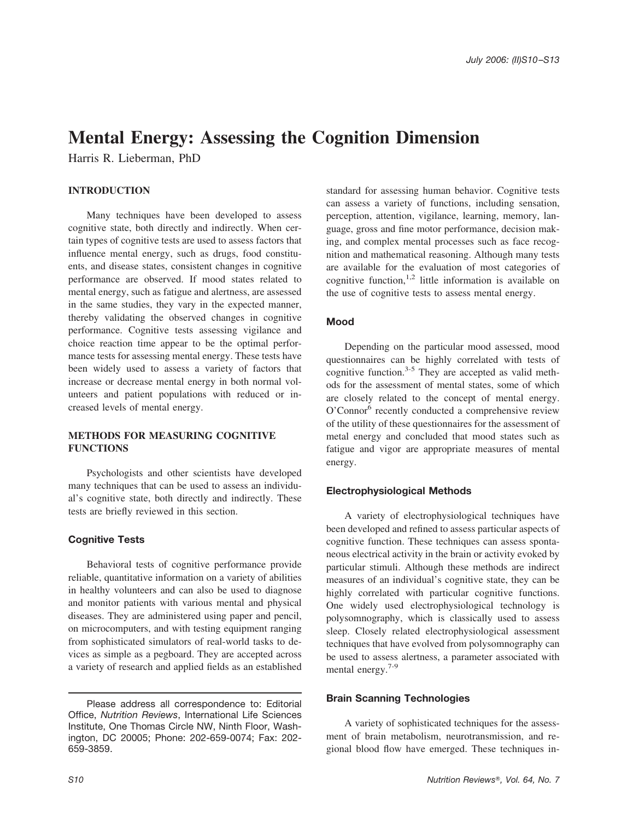# **Mental Energy: Assessing the Cognition Dimension**

Harris R. Lieberman, PhD

# **INTRODUCTION**

Many techniques have been developed to assess cognitive state, both directly and indirectly. When certain types of cognitive tests are used to assess factors that influence mental energy, such as drugs, food constituents, and disease states, consistent changes in cognitive performance are observed. If mood states related to mental energy, such as fatigue and alertness, are assessed in the same studies, they vary in the expected manner, thereby validating the observed changes in cognitive performance. Cognitive tests assessing vigilance and choice reaction time appear to be the optimal performance tests for assessing mental energy. These tests have been widely used to assess a variety of factors that increase or decrease mental energy in both normal volunteers and patient populations with reduced or increased levels of mental energy.

# **METHODS FOR MEASURING COGNITIVE FUNCTIONS**

Psychologists and other scientists have developed many techniques that can be used to assess an individual's cognitive state, both directly and indirectly. These tests are briefly reviewed in this section.

# **Cognitive Tests**

Behavioral tests of cognitive performance provide reliable, quantitative information on a variety of abilities in healthy volunteers and can also be used to diagnose and monitor patients with various mental and physical diseases. They are administered using paper and pencil, on microcomputers, and with testing equipment ranging from sophisticated simulators of real-world tasks to devices as simple as a pegboard. They are accepted across a variety of research and applied fields as an established standard for assessing human behavior. Cognitive tests can assess a variety of functions, including sensation, perception, attention, vigilance, learning, memory, language, gross and fine motor performance, decision making, and complex mental processes such as face recognition and mathematical reasoning. Although many tests are available for the evaluation of most categories of cognitive function,<sup>1,2</sup> little information is available on the use of cognitive tests to assess mental energy.

#### **Mood**

Depending on the particular mood assessed, mood questionnaires can be highly correlated with tests of cognitive function. $3-5$  They are accepted as valid methods for the assessment of mental states, some of which are closely related to the concept of mental energy. O'Connor<sup>6</sup> recently conducted a comprehensive review of the utility of these questionnaires for the assessment of metal energy and concluded that mood states such as fatigue and vigor are appropriate measures of mental energy.

# **Electrophysiological Methods**

A variety of electrophysiological techniques have been developed and refined to assess particular aspects of cognitive function. These techniques can assess spontaneous electrical activity in the brain or activity evoked by particular stimuli. Although these methods are indirect measures of an individual's cognitive state, they can be highly correlated with particular cognitive functions. One widely used electrophysiological technology is polysomnography, which is classically used to assess sleep. Closely related electrophysiological assessment techniques that have evolved from polysomnography can be used to assess alertness, a parameter associated with mental energy.<sup>7-9</sup>

#### **Brain Scanning Technologies**

A variety of sophisticated techniques for the assessment of brain metabolism, neurotransmission, and regional blood flow have emerged. These techniques in-

Please address all correspondence to: Editorial Office, *Nutrition Reviews*, International Life Sciences Institute, One Thomas Circle NW, Ninth Floor, Washington, DC 20005; Phone: 202-659-0074; Fax: 202- 659-3859.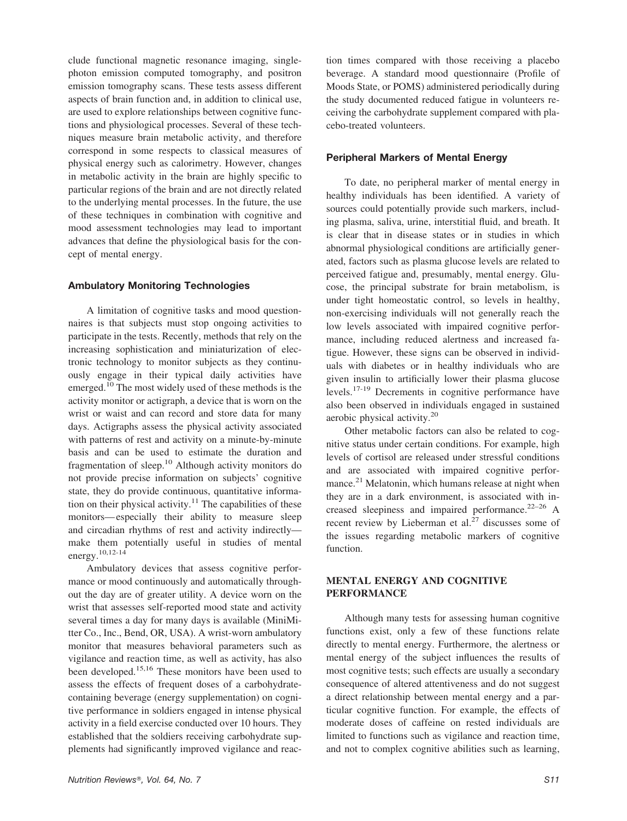clude functional magnetic resonance imaging, singlephoton emission computed tomography, and positron emission tomography scans. These tests assess different aspects of brain function and, in addition to clinical use, are used to explore relationships between cognitive functions and physiological processes. Several of these techniques measure brain metabolic activity, and therefore correspond in some respects to classical measures of physical energy such as calorimetry. However, changes in metabolic activity in the brain are highly specific to particular regions of the brain and are not directly related to the underlying mental processes. In the future, the use of these techniques in combination with cognitive and mood assessment technologies may lead to important advances that define the physiological basis for the concept of mental energy.

# **Ambulatory Monitoring Technologies**

A limitation of cognitive tasks and mood questionnaires is that subjects must stop ongoing activities to participate in the tests. Recently, methods that rely on the increasing sophistication and miniaturization of electronic technology to monitor subjects as they continuously engage in their typical daily activities have emerged.10 The most widely used of these methods is the activity monitor or actigraph, a device that is worn on the wrist or waist and can record and store data for many days. Actigraphs assess the physical activity associated with patterns of rest and activity on a minute-by-minute basis and can be used to estimate the duration and fragmentation of sleep.10 Although activity monitors do not provide precise information on subjects' cognitive state, they do provide continuous, quantitative information on their physical activity. $11$  The capabilities of these monitors— especially their ability to measure sleep and circadian rhythms of rest and activity indirectly make them potentially useful in studies of mental energy.10,12-14

Ambulatory devices that assess cognitive performance or mood continuously and automatically throughout the day are of greater utility. A device worn on the wrist that assesses self-reported mood state and activity several times a day for many days is available (MiniMitter Co., Inc., Bend, OR, USA). A wrist-worn ambulatory monitor that measures behavioral parameters such as vigilance and reaction time, as well as activity, has also been developed.15,16 These monitors have been used to assess the effects of frequent doses of a carbohydratecontaining beverage (energy supplementation) on cognitive performance in soldiers engaged in intense physical activity in a field exercise conducted over 10 hours. They established that the soldiers receiving carbohydrate supplements had significantly improved vigilance and reaction times compared with those receiving a placebo beverage. A standard mood questionnaire (Profile of Moods State, or POMS) administered periodically during the study documented reduced fatigue in volunteers receiving the carbohydrate supplement compared with placebo-treated volunteers.

#### **Peripheral Markers of Mental Energy**

To date, no peripheral marker of mental energy in healthy individuals has been identified. A variety of sources could potentially provide such markers, including plasma, saliva, urine, interstitial fluid, and breath. It is clear that in disease states or in studies in which abnormal physiological conditions are artificially generated, factors such as plasma glucose levels are related to perceived fatigue and, presumably, mental energy. Glucose, the principal substrate for brain metabolism, is under tight homeostatic control, so levels in healthy, non-exercising individuals will not generally reach the low levels associated with impaired cognitive performance, including reduced alertness and increased fatigue. However, these signs can be observed in individuals with diabetes or in healthy individuals who are given insulin to artificially lower their plasma glucose levels.17-19 Decrements in cognitive performance have also been observed in individuals engaged in sustained aerobic physical activity.20

Other metabolic factors can also be related to cognitive status under certain conditions. For example, high levels of cortisol are released under stressful conditions and are associated with impaired cognitive performance.<sup>21</sup> Melatonin, which humans release at night when they are in a dark environment, is associated with increased sleepiness and impaired performance.<sup>22–26</sup> A recent review by Lieberman et al. $^{27}$  discusses some of the issues regarding metabolic markers of cognitive function.

#### **MENTAL ENERGY AND COGNITIVE PERFORMANCE**

Although many tests for assessing human cognitive functions exist, only a few of these functions relate directly to mental energy. Furthermore, the alertness or mental energy of the subject influences the results of most cognitive tests; such effects are usually a secondary consequence of altered attentiveness and do not suggest a direct relationship between mental energy and a particular cognitive function. For example, the effects of moderate doses of caffeine on rested individuals are limited to functions such as vigilance and reaction time, and not to complex cognitive abilities such as learning,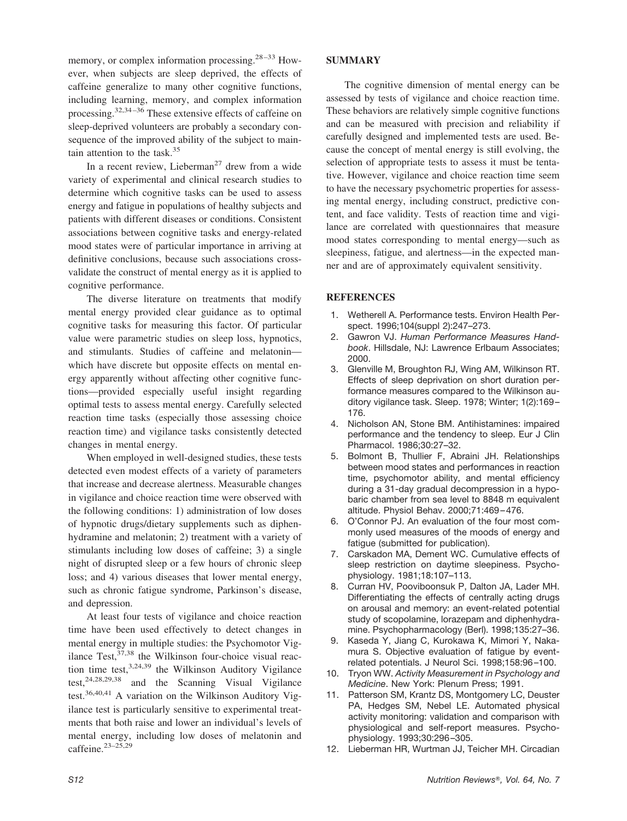memory, or complex information processing.<sup>28-33</sup> However, when subjects are sleep deprived, the effects of caffeine generalize to many other cognitive functions, including learning, memory, and complex information processing.32,34 –36 These extensive effects of caffeine on sleep-deprived volunteers are probably a secondary consequence of the improved ability of the subject to maintain attention to the task.<sup>35</sup>

In a recent review, Lieberman<sup>27</sup> drew from a wide variety of experimental and clinical research studies to determine which cognitive tasks can be used to assess energy and fatigue in populations of healthy subjects and patients with different diseases or conditions. Consistent associations between cognitive tasks and energy-related mood states were of particular importance in arriving at definitive conclusions, because such associations crossvalidate the construct of mental energy as it is applied to cognitive performance.

The diverse literature on treatments that modify mental energy provided clear guidance as to optimal cognitive tasks for measuring this factor. Of particular value were parametric studies on sleep loss, hypnotics, and stimulants. Studies of caffeine and melatonin which have discrete but opposite effects on mental energy apparently without affecting other cognitive functions—provided especially useful insight regarding optimal tests to assess mental energy. Carefully selected reaction time tasks (especially those assessing choice reaction time) and vigilance tasks consistently detected changes in mental energy.

When employed in well-designed studies, these tests detected even modest effects of a variety of parameters that increase and decrease alertness. Measurable changes in vigilance and choice reaction time were observed with the following conditions: 1) administration of low doses of hypnotic drugs/dietary supplements such as diphenhydramine and melatonin; 2) treatment with a variety of stimulants including low doses of caffeine; 3) a single night of disrupted sleep or a few hours of chronic sleep loss; and 4) various diseases that lower mental energy, such as chronic fatigue syndrome, Parkinson's disease, and depression.

At least four tests of vigilance and choice reaction time have been used effectively to detect changes in mental energy in multiple studies: the Psychomotor Vigilance Test,  $37,38$  the Wilkinson four-choice visual reaction time test,  $3,24,39$  the Wilkinson Auditory Vigilance test,  $24,28,29,38$  and the Scanning Visual Vigilance test.36,40,41 A variation on the Wilkinson Auditory Vigilance test is particularly sensitive to experimental treatments that both raise and lower an individual's levels of mental energy, including low doses of melatonin and caffeine. $23-25,29$ 

# **SUMMARY**

The cognitive dimension of mental energy can be assessed by tests of vigilance and choice reaction time. These behaviors are relatively simple cognitive functions and can be measured with precision and reliability if carefully designed and implemented tests are used. Because the concept of mental energy is still evolving, the selection of appropriate tests to assess it must be tentative. However, vigilance and choice reaction time seem to have the necessary psychometric properties for assessing mental energy, including construct, predictive content, and face validity. Tests of reaction time and vigilance are correlated with questionnaires that measure mood states corresponding to mental energy—such as sleepiness, fatigue, and alertness—in the expected manner and are of approximately equivalent sensitivity.

# **REFERENCES**

- 1. Wetherell A. Performance tests. Environ Health Perspect. 1996;104(suppl 2):247–273.
- 2. Gawron VJ. *Human Performance Measures Handbook*. Hillsdale, NJ: Lawrence Erlbaum Associates; 2000.
- 3. Glenville M, Broughton RJ, Wing AM, Wilkinson RT. Effects of sleep deprivation on short duration performance measures compared to the Wilkinson auditory vigilance task. Sleep. 1978; Winter; 1(2):169 – 176.
- 4. Nicholson AN, Stone BM. Antihistamines: impaired performance and the tendency to sleep. Eur J Clin Pharmacol. 1986;30:27–32.
- 5. Bolmont B, Thullier F, Abraini JH. Relationships between mood states and performances in reaction time, psychomotor ability, and mental efficiency during a 31-day gradual decompression in a hypobaric chamber from sea level to 8848 m equivalent altitude. Physiol Behav. 2000;71:469 – 476.
- 6. O'Connor PJ. An evaluation of the four most commonly used measures of the moods of energy and fatigue (submitted for publication).
- 7. Carskadon MA, Dement WC. Cumulative effects of sleep restriction on daytime sleepiness. Psychophysiology. 1981;18:107–113.
- 8. Curran HV, Pooviboonsuk P, Dalton JA, Lader MH. Differentiating the effects of centrally acting drugs on arousal and memory: an event-related potential study of scopolamine, lorazepam and diphenhydramine. Psychopharmacology (Berl). 1998;135:27–36.
- 9. Kaseda Y, Jiang C, Kurokawa K, Mimori Y, Nakamura S. Objective evaluation of fatigue by eventrelated potentials. J Neurol Sci. 1998;158:96 –100.
- 10. Tryon WW. *Activity Measurement in Psychology and Medicine*. New York: Plenum Press; 1991.
- 11. Patterson SM, Krantz DS, Montgomery LC, Deuster PA, Hedges SM, Nebel LE. Automated physical activity monitoring: validation and comparison with physiological and self-report measures. Psychophysiology. 1993;30:296 –305.
- 12. Lieberman HR, Wurtman JJ, Teicher MH. Circadian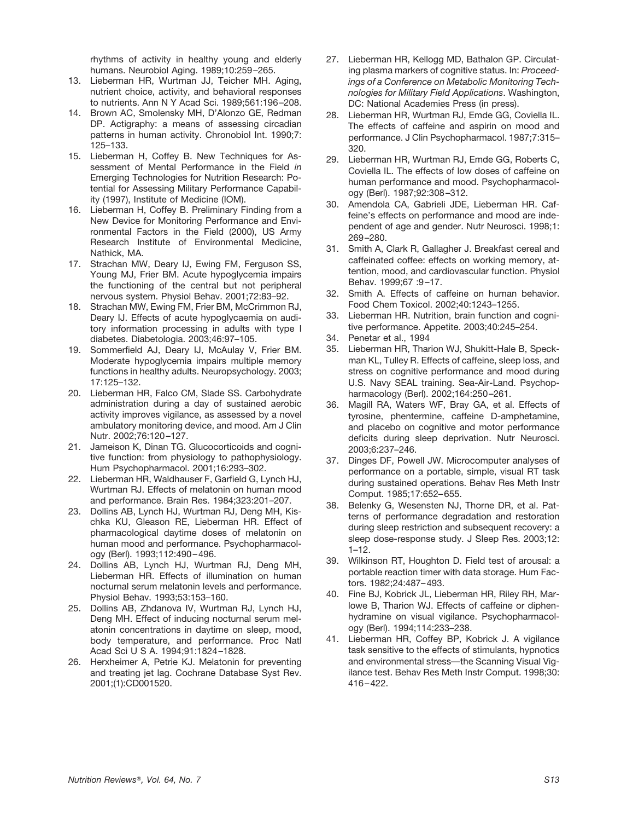rhythms of activity in healthy young and elderly humans. Neurobiol Aging. 1989;10:259 –265.

- 13. Lieberman HR, Wurtman JJ, Teicher MH. Aging, nutrient choice, activity, and behavioral responses to nutrients. Ann N Y Acad Sci. 1989;561:196 –208.
- 14. Brown AC, Smolensky MH, D'Alonzo GE, Redman DP. Actigraphy: a means of assessing circadian patterns in human activity. Chronobiol Int. 1990;7: 125–133.
- 15. Lieberman H, Coffey B. New Techniques for Assessment of Mental Performance in the Field *in* Emerging Technologies for Nutrition Research: Potential for Assessing Military Performance Capability (1997), Institute of Medicine (IOM).
- 16. Lieberman H, Coffey B. Preliminary Finding from a New Device for Monitoring Performance and Environmental Factors in the Field (2000), US Army Research Institute of Environmental Medicine, Nathick, MA.
- 17. Strachan MW, Deary IJ, Ewing FM, Ferguson SS, Young MJ, Frier BM. Acute hypoglycemia impairs the functioning of the central but not peripheral nervous system. Physiol Behav. 2001;72:83–92.
- 18. Strachan MW, Ewing FM, Frier BM, McCrimmon RJ, Deary IJ. Effects of acute hypoglycaemia on auditory information processing in adults with type I diabetes. Diabetologia. 2003;46:97–105.
- 19. Sommerfield AJ, Deary IJ, McAulay V, Frier BM. Moderate hypoglycemia impairs multiple memory functions in healthy adults. Neuropsychology. 2003; 17:125–132.
- 20. Lieberman HR, Falco CM, Slade SS. Carbohydrate administration during a day of sustained aerobic activity improves vigilance, as assessed by a novel ambulatory monitoring device, and mood. Am J Clin Nutr. 2002;76:120 –127.
- 21. Jameison K, Dinan TG. Glucocorticoids and cognitive function: from physiology to pathophysiology. Hum Psychopharmacol. 2001;16:293–302.
- 22. Lieberman HR, Waldhauser F, Garfield G, Lynch HJ, Wurtman RJ. Effects of melatonin on human mood and performance. Brain Res. 1984;323:201–207.
- 23. Dollins AB, Lynch HJ, Wurtman RJ, Deng MH, Kischka KU, Gleason RE, Lieberman HR. Effect of pharmacological daytime doses of melatonin on human mood and performance. Psychopharmacology (Berl). 1993;112:490 – 496.
- 24. Dollins AB, Lynch HJ, Wurtman RJ, Deng MH, Lieberman HR. Effects of illumination on human nocturnal serum melatonin levels and performance. Physiol Behav. 1993;53:153–160.
- 25. Dollins AB, Zhdanova IV, Wurtman RJ, Lynch HJ, Deng MH. Effect of inducing nocturnal serum melatonin concentrations in daytime on sleep, mood, body temperature, and performance. Proc Natl Acad Sci U S A. 1994;91:1824 –1828.
- 26. Herxheimer A, Petrie KJ. Melatonin for preventing and treating jet lag. Cochrane Database Syst Rev. 2001;(1):CD001520.
- 27. Lieberman HR, Kellogg MD, Bathalon GP. Circulating plasma markers of cognitive status. In: *Proceedings of a Conference on Metabolic Monitoring Technologies for Military Field Applications*. Washington, DC: National Academies Press (in press).
- 28. Lieberman HR, Wurtman RJ, Emde GG, Coviella IL. The effects of caffeine and aspirin on mood and performance. J Clin Psychopharmacol. 1987;7:315– 320.
- 29. Lieberman HR, Wurtman RJ, Emde GG, Roberts C, Coviella IL. The effects of low doses of caffeine on human performance and mood. Psychopharmacology (Berl). 1987;92:308 –312.
- 30. Amendola CA, Gabrieli JDE, Lieberman HR. Caffeine's effects on performance and mood are independent of age and gender. Nutr Neurosci. 1998;1: 269 –280.
- 31. Smith A, Clark R, Gallagher J. Breakfast cereal and caffeinated coffee: effects on working memory, attention, mood, and cardiovascular function. Physiol Behav. 1999;67 :9 –17.
- 32. Smith A. Effects of caffeine on human behavior. Food Chem Toxicol. 2002;40:1243–1255.
- 33. Lieberman HR. Nutrition, brain function and cognitive performance. Appetite. 2003;40:245–254.
- 34. Penetar et al., 1994
- 35. Lieberman HR, Tharion WJ, Shukitt-Hale B, Speckman KL, Tulley R. Effects of caffeine, sleep loss, and stress on cognitive performance and mood during U.S. Navy SEAL training. Sea-Air-Land. Psychopharmacology (Berl). 2002;164:250 –261.
- 36. Magill RA, Waters WF, Bray GA, et al. Effects of tyrosine, phentermine, caffeine D-amphetamine, and placebo on cognitive and motor performance deficits during sleep deprivation. Nutr Neurosci. 2003;6:237–246.
- 37. Dinges DF, Powell JW. Microcomputer analyses of performance on a portable, simple, visual RT task during sustained operations. Behav Res Meth Instr Comput. 1985;17:652– 655.
- 38. Belenky G, Wesensten NJ, Thorne DR, et al. Patterns of performance degradation and restoration during sleep restriction and subsequent recovery: a sleep dose-response study. J Sleep Res. 2003;12:  $1 - 12.$
- 39. Wilkinson RT, Houghton D. Field test of arousal: a portable reaction timer with data storage. Hum Factors. 1982;24:487– 493.
- 40. Fine BJ, Kobrick JL, Lieberman HR, Riley RH, Marlowe B, Tharion WJ. Effects of caffeine or diphenhydramine on visual vigilance. Psychopharmacology (Berl). 1994;114:233–238.
- 41. Lieberman HR, Coffey BP, Kobrick J. A vigilance task sensitive to the effects of stimulants, hypnotics and environmental stress—the Scanning Visual Vigilance test. Behav Res Meth Instr Comput. 1998;30: 416 – 422.